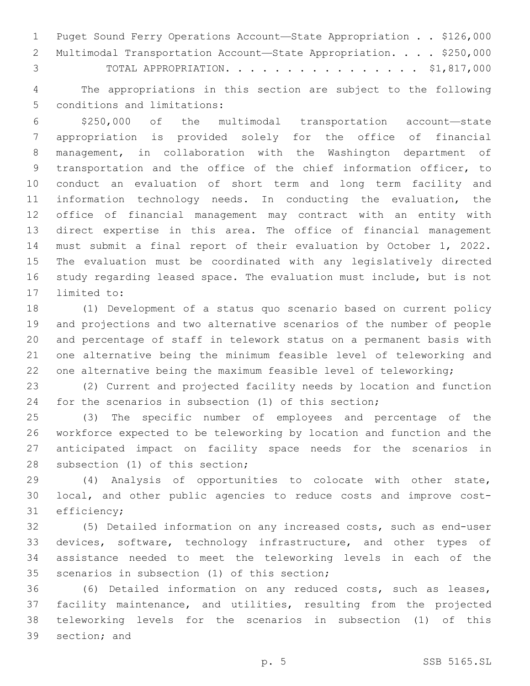|               | 1 Puget Sound Ferry Operations Account-State Appropriation \$126,000 |  |
|---------------|----------------------------------------------------------------------|--|
|               | 2 Multimodal Transportation Account-State Appropriation. \$250,000   |  |
| $\mathcal{S}$ | TOTAL APPROPRIATION. \$1,817,000                                     |  |

 The appropriations in this section are subject to the following 5 conditions and limitations:

 \$250,000 of the multimodal transportation account—state appropriation is provided solely for the office of financial management, in collaboration with the Washington department of transportation and the office of the chief information officer, to conduct an evaluation of short term and long term facility and information technology needs. In conducting the evaluation, the office of financial management may contract with an entity with direct expertise in this area. The office of financial management must submit a final report of their evaluation by October 1, 2022. The evaluation must be coordinated with any legislatively directed study regarding leased space. The evaluation must include, but is not 17 limited to:

 (1) Development of a status quo scenario based on current policy and projections and two alternative scenarios of the number of people and percentage of staff in telework status on a permanent basis with one alternative being the minimum feasible level of teleworking and 22 one alternative being the maximum feasible level of teleworking;

 (2) Current and projected facility needs by location and function for the scenarios in subsection (1) of this section;

 (3) The specific number of employees and percentage of the workforce expected to be teleworking by location and function and the anticipated impact on facility space needs for the scenarios in 28 subsection (1) of this section;

 (4) Analysis of opportunities to colocate with other state, local, and other public agencies to reduce costs and improve cost-31 efficiency;

 (5) Detailed information on any increased costs, such as end-user 33 devices, software, technology infrastructure, and other types of assistance needed to meet the teleworking levels in each of the 35 scenarios in subsection (1) of this section;

 (6) Detailed information on any reduced costs, such as leases, facility maintenance, and utilities, resulting from the projected teleworking levels for the scenarios in subsection (1) of this 39 section: and